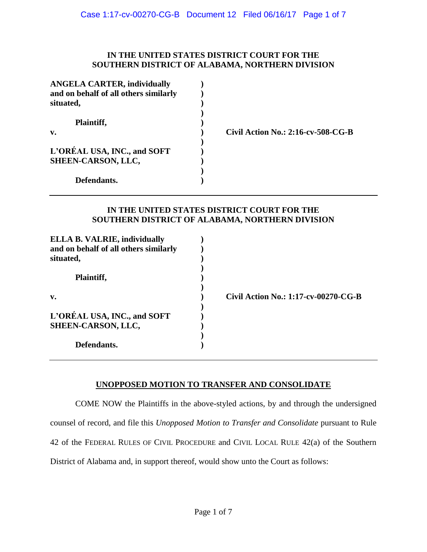#### **IN THE UNITED STATES DISTRICT COURT FOR THE SOUTHERN DISTRICT OF ALABAMA, NORTHERN DIVISION**

| <b>ANGELA CARTER, individually</b><br>and on behalf of all others similarly |                                       |
|-----------------------------------------------------------------------------|---------------------------------------|
| situated,                                                                   |                                       |
| Plaintiff,                                                                  |                                       |
| $\mathbf{v}$ .                                                              | Civil Action No.: $2:16$ -cv-508-CG-B |
| L'ORÉAL USA, INC., and SOFT                                                 |                                       |
| SHEEN-CARSON, LLC,                                                          |                                       |
|                                                                             |                                       |
| Defendants.                                                                 |                                       |

### **IN THE UNITED STATES DISTRICT COURT FOR THE SOUTHERN DISTRICT OF ALABAMA, NORTHERN DIVISION**

| <b>ELLA B. VALRIE, individually</b><br>and on behalf of all others similarly |                                      |
|------------------------------------------------------------------------------|--------------------------------------|
| situated,                                                                    |                                      |
|                                                                              |                                      |
| Plaintiff,                                                                   |                                      |
|                                                                              |                                      |
| v.                                                                           | Civil Action No.: 1:17-cv-00270-CG-B |
|                                                                              |                                      |
| L'ORÉAL USA, INC., and SOFT                                                  |                                      |
| SHEEN-CARSON, LLC,                                                           |                                      |
|                                                                              |                                      |
| Defendants.                                                                  |                                      |

### **UNOPPOSED MOTION TO TRANSFER AND CONSOLIDATE**

COME NOW the Plaintiffs in the above-styled actions, by and through the undersigned counsel of record, and file this *Unopposed Motion to Transfer and Consolidate* pursuant to Rule 42 of the FEDERAL RULES OF CIVIL PROCEDURE and CIVIL LOCAL RULE 42(a) of the Southern District of Alabama and, in support thereof, would show unto the Court as follows: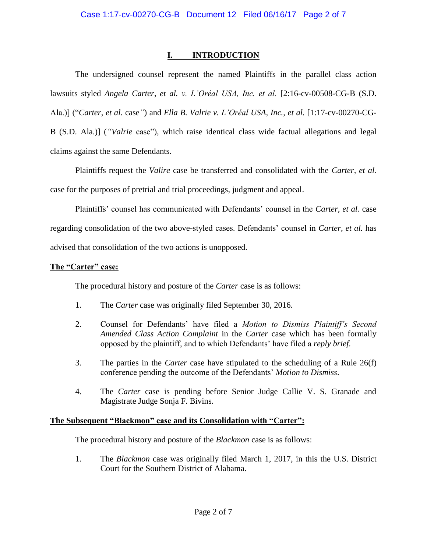# **I. INTRODUCTION**

The undersigned counsel represent the named Plaintiffs in the parallel class action lawsuits styled *Angela Carter, et al. v. L'Oréal USA, Inc. et al.* [2:16-cv-00508-CG-B (S.D. Ala.)] ("*Carter, et al.* case*"*) and *Ella B. Valrie v. L'Oréal USA, Inc., et al.* [1:17-cv-00270-CG-B (S.D. Ala.)] (*"Valrie* case"), which raise identical class wide factual allegations and legal claims against the same Defendants.

Plaintiffs request the *Valire* case be transferred and consolidated with the *Carter, et al.* case for the purposes of pretrial and trial proceedings, judgment and appeal.

Plaintiffs' counsel has communicated with Defendants' counsel in the *Carter, et al.* case regarding consolidation of the two above-styled cases. Defendants' counsel in *Carter, et al.* has advised that consolidation of the two actions is unopposed.

## **The "Carter" case:**

The procedural history and posture of the *Carter* case is as follows:

- 1. The *Carter* case was originally filed September 30, 2016.
- 2. Counsel for Defendants' have filed a *Motion to Dismiss Plaintiff's Second Amended Class Action Complaint* in the *Carter* case which has been formally opposed by the plaintiff, and to which Defendants' have filed a *reply brief*.
- 3. The parties in the *Carter* case have stipulated to the scheduling of a Rule 26(f) conference pending the outcome of the Defendants' *Motion to Dismiss*.
- 4. The *Carter* case is pending before Senior Judge Callie V. S. Granade and Magistrate Judge Sonja F. Bivins.

## **The Subsequent "Blackmon" case and its Consolidation with "Carter":**

The procedural history and posture of the *Blackmon* case is as follows:

1. The *Blackmon* case was originally filed March 1, 2017, in this the U.S. District Court for the Southern District of Alabama.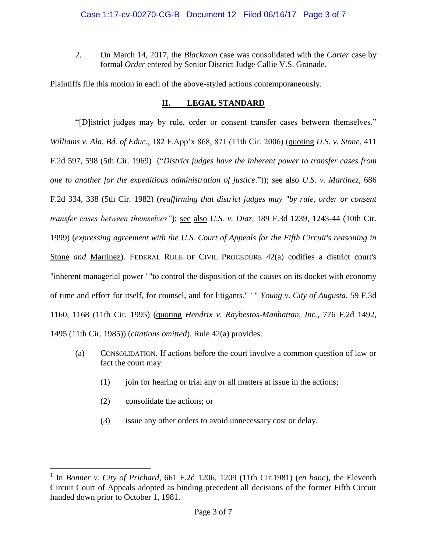2. On March 14, 2017, the *Blackmon* case was consolidated with the *Carter* case by formal *Order* entered by Senior District Judge Callie V.S. Granade.

Plaintiffs file this motion in each of the above-styled actions contemporaneously.

## **II. LEGAL STANDARD**

"[D]istrict judges may by rule, order or consent transfer cases between themselves." *Williams v. Ala. Bd. of Educ.*, 182 F.App'x 868, 871 (11th Cir. 2006) (quoting *U.S. v. Stone*, 411 F.2d 597, 598 (5th Cir. 1969)<sup>1</sup> ("District judges have the inherent power to transfer cases from *one to another for the expeditious administration of justice*.")); see also *U.S. v. Martinez,* 686 F.2d 334, 338 (5th Cir. 1982) (*reaffirming that district judges may "by rule, order or consent transfer cases between themselves"*); see also *U.S. v. Diaz,* 189 F.3d 1239, 1243-44 (10th Cir. 1999) (*expressing agreement with the U.S. Court of Appeals for the Fifth Circuit's reasoning in*  Stone *and* Martinez). FEDERAL RULE OF CIVIL PROCEDURE 42(a) codifies a district court's "inherent managerial power ' "to control the disposition of the causes on its docket with economy of time and effort for itself, for counsel, and for litigants." ' " *Young v. City of Augusta,* 59 F.3d 1160, 1168 (11th Cir. 1995) (quoting *Hendrix v. Raybestos-Manhattan, Inc.*, 776 F.2d 1492, 1495 (11th Cir. 1985)) (*citations omitted*). Rule 42(a) provides:

- (a) CONSOLIDATION. If actions before the court involve a common question of law or fact the court may:
	- $(1)$  join for hearing or trial any or all matters at issue in the actions;
	- (2) consolidate the actions; or

 $\overline{a}$ 

(3) issue any other orders to avoid unnecessary cost or delay.

<sup>&</sup>lt;sup>1</sup> In *Bonner v. City of Prichard*, 661 F.2d 1206, 1209 (11th Cir.1981) (*en banc*), the Eleventh Circuit Court of Appeals adopted as binding precedent all decisions of the former Fifth Circuit handed down prior to October 1, 1981.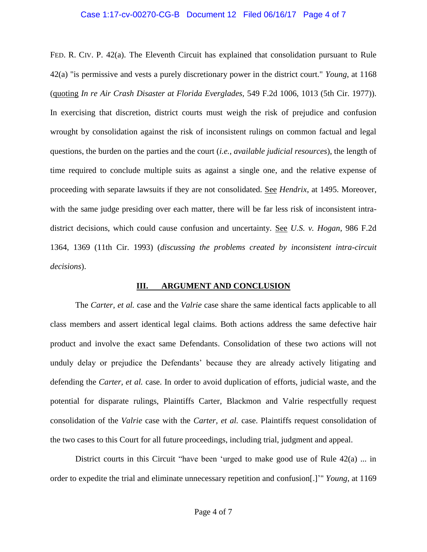#### Case 1:17-cv-00270-CG-B Document 12 Filed 06/16/17 Page 4 of 7

FED. R. CIV. P. 42(a). The Eleventh Circuit has explained that consolidation pursuant to Rule 42(a) "is permissive and vests a purely discretionary power in the district court." *Young*, at 1168 (quoting *In re Air Crash Disaster at Florida Everglades,* 549 F.2d 1006, 1013 (5th Cir. 1977)). In exercising that discretion, district courts must weigh the risk of prejudice and confusion wrought by consolidation against the risk of inconsistent rulings on common factual and legal questions, the burden on the parties and the court (*i.e., available judicial resources*), the length of time required to conclude multiple suits as against a single one, and the relative expense of proceeding with separate lawsuits if they are not consolidated. See *Hendrix*, at 1495. Moreover, with the same judge presiding over each matter, there will be far less risk of inconsistent intradistrict decisions, which could cause confusion and uncertainty. See *U.S. v. Hogan*, 986 F.2d 1364, 1369 (11th Cir. 1993) (*discussing the problems created by inconsistent intra-circuit decisions*).

#### **III. ARGUMENT AND CONCLUSION**

The *Carter, et al.* case and the *Valrie* case share the same identical facts applicable to all class members and assert identical legal claims. Both actions address the same defective hair product and involve the exact same Defendants. Consolidation of these two actions will not unduly delay or prejudice the Defendants' because they are already actively litigating and defending the *Carter, et al.* case. In order to avoid duplication of efforts, judicial waste, and the potential for disparate rulings, Plaintiffs Carter, Blackmon and Valrie respectfully request consolidation of the *Valrie* case with the *Carter, et al.* case. Plaintiffs request consolidation of the two cases to this Court for all future proceedings, including trial, judgment and appeal.

District courts in this Circuit "have been 'urged to make good use of Rule 42(a) ... in order to expedite the trial and eliminate unnecessary repetition and confusion[.]'" *Young*, at 1169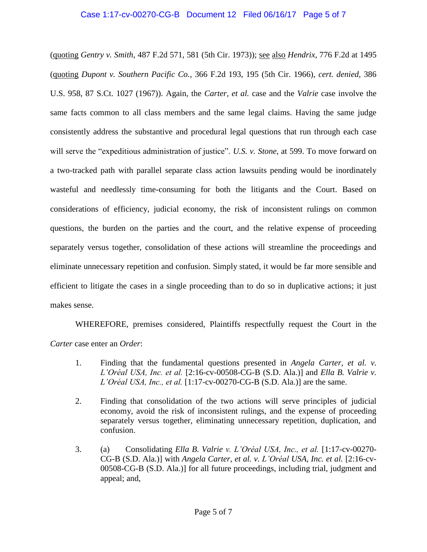## Case 1:17-cv-00270-CG-B Document 12 Filed 06/16/17 Page 5 of 7

(quoting *Gentry v. Smith*, 487 F.2d 571, 581 (5th Cir. 1973)); see also *Hendrix,* 776 F.2d at 1495 (quoting *Dupont v. Southern Pacific Co.*, 366 F.2d 193, 195 (5th Cir. 1966), *cert. denied*, 386 U.S. 958, 87 S.Ct. 1027 (1967)). Again, the *Carter, et al.* case and the *Valrie* case involve the same facts common to all class members and the same legal claims. Having the same judge consistently address the substantive and procedural legal questions that run through each case will serve the "expeditious administration of justice". *U.S. v. Stone*, at 599. To move forward on a two-tracked path with parallel separate class action lawsuits pending would be inordinately wasteful and needlessly time-consuming for both the litigants and the Court. Based on considerations of efficiency, judicial economy, the risk of inconsistent rulings on common questions, the burden on the parties and the court, and the relative expense of proceeding separately versus together, consolidation of these actions will streamline the proceedings and eliminate unnecessary repetition and confusion. Simply stated, it would be far more sensible and efficient to litigate the cases in a single proceeding than to do so in duplicative actions; it just makes sense.

WHEREFORE, premises considered, Plaintiffs respectfully request the Court in the *Carter* case enter an *Order*:

- 1. Finding that the fundamental questions presented in *Angela Carter, et al. v. L'Oréal USA, Inc. et al.* [2:16-cv-00508-CG-B (S.D. Ala.)] and *Ella B. Valrie v. L'Oréal USA, Inc., et al.* [1:17-cv-00270-CG-B (S.D. Ala.)] are the same.
- 2. Finding that consolidation of the two actions will serve principles of judicial economy, avoid the risk of inconsistent rulings, and the expense of proceeding separately versus together, eliminating unnecessary repetition, duplication, and confusion.
- 3. (a) Consolidating *Ella B. Valrie v. L'Oréal USA, Inc., et al.* [1:17-cv-00270- CG-B (S.D. Ala.)] with *Angela Carter, et al. v. L'Oréal USA, Inc. et al.* [2:16-cv-00508-CG-B (S.D. Ala.)] for all future proceedings, including trial, judgment and appeal; and,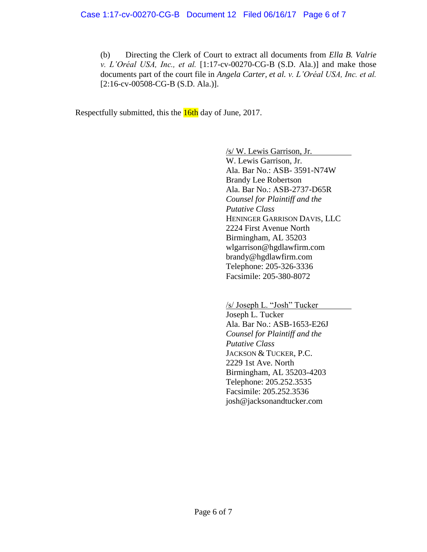(b) Directing the Clerk of Court to extract all documents from *Ella B. Valrie v. L'Oréal USA, Inc., et al.* [1:17-cv-00270-CG-B (S.D. Ala.)] and make those documents part of the court file in *Angela Carter, et al. v. L'Oréal USA, Inc. et al.* [2:16-cv-00508-CG-B (S.D. Ala.)].

Respectfully submitted, this the **16th** day of June, 2017.

/s/ W. Lewis Garrison, Jr.

W. Lewis Garrison, Jr. Ala. Bar No.: ASB- 3591-N74W Brandy Lee Robertson Ala. Bar No.: ASB-2737-D65R *Counsel for Plaintiff and the Putative Class* HENINGER GARRISON DAVIS, LLC 2224 First Avenue North Birmingham, AL 35203 wlgarrison@hgdlawfirm.com brandy@hgdlawfirm.com Telephone: 205-326-3336 Facsimile: 205-380-8072

/s/ Joseph L. "Josh" Tucker

Joseph L. Tucker Ala. Bar No.: ASB-1653-E26J *Counsel for Plaintiff and the Putative Class* JACKSON & TUCKER, P.C. 2229 1st Ave. North Birmingham, AL 35203-4203 Telephone: 205.252.3535 Facsimile: 205.252.3536 josh@jacksonandtucker.com